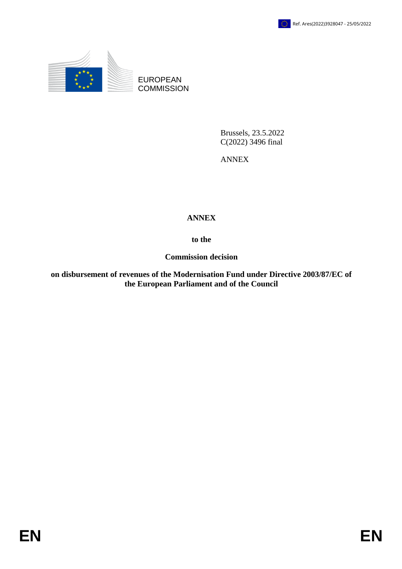

EUROPEAN **COMMISSION** 

> Brussels, 23.5.2022 C(2022) 3496 final

ANNEX

#### **ANNEX**

**to the**

**Commission decision**

**on disbursement of revenues of the Modernisation Fund under Directive 2003/87/EC of EUROPEAN**<br> **EUROPEAN**<br> **EUROPEAN**<br> **EUROPEAN**<br> **EUROPEAN**<br> **EUROPEAN**<br> **EUROPEAN**<br> **EUROPEAN**<br> **EUROPEAN**<br> **EUROPEAN**<br> **EUROPEAN**<br> **EUROPEAN**<br> **EUROPEAN**<br> **EUROPEAN**<br> **EUROPEAN**<br> **EUROPEAN**<br> **EUROPEAN**<br> **EUROPEAN**<br> **EUROP**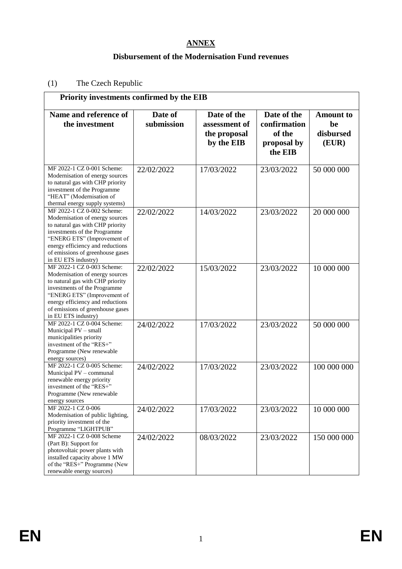## **ANNEX**

#### **Disbursement of the Modernisation Fund revenues**

#### (1) The Czech Republic

| Priority investments confirmed by the EIB                                                                                                                                                                                                                       |                       |                              |                                       |                                     |  |
|-----------------------------------------------------------------------------------------------------------------------------------------------------------------------------------------------------------------------------------------------------------------|-----------------------|------------------------------|---------------------------------------|-------------------------------------|--|
| Name and reference of<br>the investment                                                                                                                                                                                                                         | Date of<br>submission | Date of the<br>assessment of | Date of the<br>confirmation<br>of the | <b>Amount</b> to<br>be<br>disbursed |  |
|                                                                                                                                                                                                                                                                 |                       | the proposal<br>by the EIB   | proposal by<br>the EIB                | (EUR)                               |  |
| MF 2022-1 CZ 0-001 Scheme:<br>Modernisation of energy sources<br>to natural gas with CHP priority<br>investment of the Programme<br>"HEAT" (Modernisation of<br>thermal energy supply systems)                                                                  | 22/02/2022            | 17/03/2022                   | 23/03/2022                            | 50 000 000                          |  |
| MF 2022-1 CZ 0-002 Scheme:<br>Modernisation of energy sources<br>to natural gas with CHP priority<br>investments of the Programme<br>"ENERG ETS" (Improvement of<br>energy efficiency and reductions<br>of emissions of greenhouse gases<br>in EU ETS industry) | 22/02/2022            | 14/03/2022                   | 23/03/2022                            | 20 000 000                          |  |
| MF 2022-1 CZ 0-003 Scheme:<br>Modernisation of energy sources<br>to natural gas with CHP priority<br>investments of the Programme<br>"ENERG ETS" (Improvement of<br>energy efficiency and reductions<br>of emissions of greenhouse gases<br>in EU ETS industry) | 22/02/2022            | 15/03/2022                   | 23/03/2022                            | 10 000 000                          |  |
| MF 2022-1 CZ 0-004 Scheme:<br>Municipal PV - small<br>municipalities priority<br>investment of the "RES+"<br>Programme (New renewable<br>energy sources)                                                                                                        | 24/02/2022            | 17/03/2022                   | 23/03/2022                            | 50 000 000                          |  |
| MF 2022-1 CZ 0-005 Scheme:<br>Municipal PV - communal<br>renewable energy priority<br>investment of the "RES+"<br>Programme (New renewable<br>energy sources                                                                                                    | 24/02/2022            | 17/03/2022                   | 23/03/2022                            | 100 000 000                         |  |
| MF 2022-1 CZ 0-006<br>Modernisation of public lighting,<br>priority investment of the<br>Programme "LIGHTPUB"                                                                                                                                                   | 24/02/2022            | 17/03/2022                   | 23/03/2022                            | 10 000 000                          |  |
| MF 2022-1 CZ 0-008 Scheme<br>(Part B): Support for<br>photovoltaic power plants with<br>installed capacity above 1 MW<br>of the "RES+" Programme (New<br>renewable energy sources)                                                                              | 24/02/2022            | 08/03/2022                   | 23/03/2022                            | 150 000 000                         |  |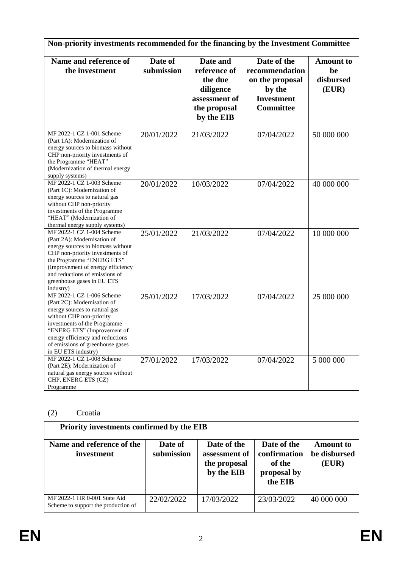| Non-priority investments recommended for the financing by the Investment Committee                                                                                                                                                                                                  |                       |                                                                                                 |                                                                                                     |                                              |
|-------------------------------------------------------------------------------------------------------------------------------------------------------------------------------------------------------------------------------------------------------------------------------------|-----------------------|-------------------------------------------------------------------------------------------------|-----------------------------------------------------------------------------------------------------|----------------------------------------------|
| Name and reference of<br>the investment                                                                                                                                                                                                                                             | Date of<br>submission | Date and<br>reference of<br>the due<br>diligence<br>assessment of<br>the proposal<br>by the EIB | Date of the<br>recommendation<br>on the proposal<br>by the<br><b>Investment</b><br><b>Committee</b> | <b>Amount</b> to<br>be<br>disbursed<br>(EUR) |
| MF 2022-1 CZ 1-001 Scheme<br>(Part 1A): Modernization of<br>energy sources to biomass without<br>CHP non-priority investments of<br>the Programme "HEAT"<br>(Modernization of thermal energy<br>supply systems)                                                                     | 20/01/2022            | 21/03/2022                                                                                      | 07/04/2022                                                                                          | 50 000 000                                   |
| MF 2022-1 CZ 1-003 Scheme<br>(Part 1C): Modernization of<br>energy sources to natural gas<br>without CHP non-priority<br>investments of the Programme<br>"HEAT" (Modernization of<br>thermal energy supply systems)                                                                 | 20/01/2022            | 10/03/2022                                                                                      | 07/04/2022                                                                                          | 40 000 000                                   |
| MF 2022-1 CZ 1-004 Scheme<br>(Part 2A): Modernisation of<br>energy sources to biomass without<br>CHP non-priority investments of<br>the Programme "ENERG ETS"<br>(Improvement of energy efficiency<br>and reductions of emissions of<br>greenhouse gases in EU ETS<br>industry)     | 25/01/2022            | 21/03/2022                                                                                      | 07/04/2022                                                                                          | 10 000 000                                   |
| MF 2022-1 CZ 1-006 Scheme<br>(Part 2C): Modernisation of<br>energy sources to natural gas<br>without CHP non-priority<br>investments of the Programme<br>"ENERG ETS" (Improvement of<br>energy efficiency and reductions<br>of emissions of greenhouse gases<br>in EU ETS industry) | 25/01/2022            | 17/03/2022                                                                                      | 07/04/2022                                                                                          | 25 000 000                                   |
| MF 2022-1 CZ 1-008 Scheme<br>(Part 2E): Modernization of<br>natural gas energy sources without<br>CHP, ENERG ETS (CZ)<br>Programme                                                                                                                                                  | 27/01/2022            | 17/03/2022                                                                                      | 07/04/2022                                                                                          | 5 000 000                                    |

# (2) Croatia

| Priority investments confirmed by the EIB                           |                       |                                                            |                                                                 |                                           |
|---------------------------------------------------------------------|-----------------------|------------------------------------------------------------|-----------------------------------------------------------------|-------------------------------------------|
| Name and reference of the<br>investment                             | Date of<br>submission | Date of the<br>assessment of<br>the proposal<br>by the EIB | Date of the<br>confirmation<br>of the<br>proposal by<br>the EIB | <b>Amount to</b><br>be disbursed<br>(EUR) |
| MF 2022-1 HR 0-001 State Aid<br>Scheme to support the production of | 22/02/2022            | 17/03/2022                                                 | 23/03/2022                                                      | 40 000 000                                |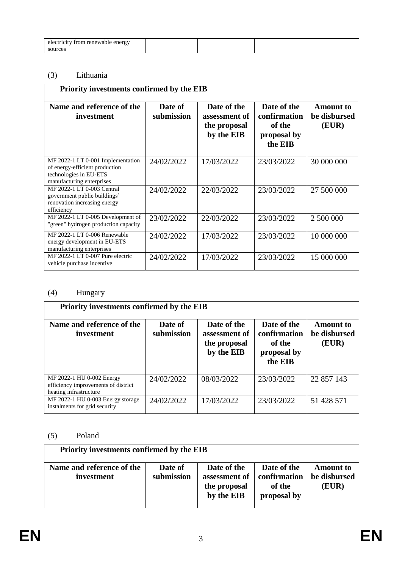| trom renewable energy<br>electricity |  |  |
|--------------------------------------|--|--|
| sources                              |  |  |

## (3) Lithuania

| <b>Priority investments confirmed by the EIB</b>                                                                           |                       |                                                            |                                                                 |                                           |  |
|----------------------------------------------------------------------------------------------------------------------------|-----------------------|------------------------------------------------------------|-----------------------------------------------------------------|-------------------------------------------|--|
| Name and reference of the<br>investment                                                                                    | Date of<br>submission | Date of the<br>assessment of<br>the proposal<br>by the EIB | Date of the<br>confirmation<br>of the<br>proposal by<br>the EIB | <b>Amount</b> to<br>be disbursed<br>(EUR) |  |
| MF 2022-1 LT 0-001 Implementation<br>of energy-efficient production<br>technologies in EU-ETS<br>manufacturing enterprises | 24/02/2022            | 17/03/2022                                                 | 23/03/2022                                                      | 30 000 000                                |  |
| MF 2022-1 LT 0-003 Central<br>government public buildings'<br>renovation increasing energy<br>efficiency                   | 24/02/2022            | 22/03/2022                                                 | 23/03/2022                                                      | 27 500 000                                |  |
| MF 2022-1 LT 0-005 Development of<br>"green" hydrogen production capacity                                                  | 23/02/2022            | 22/03/2022                                                 | 23/03/2022                                                      | 2 500 000                                 |  |
| MF 2022-1 LT 0-006 Renewable<br>energy development in EU-ETS<br>manufacturing enterprises                                  | 24/02/2022            | 17/03/2022                                                 | 23/03/2022                                                      | 10 000 000                                |  |
| MF 2022-1 LT 0-007 Pure electric<br>vehicle purchase incentive                                                             | 24/02/2022            | 17/03/2022                                                 | 23/03/2022                                                      | 15 000 000                                |  |

## (4) Hungary

| <b>Priority investments confirmed by the EIB</b>                                           |                       |                                                            |                                                                 |                                           |  |
|--------------------------------------------------------------------------------------------|-----------------------|------------------------------------------------------------|-----------------------------------------------------------------|-------------------------------------------|--|
| Name and reference of the<br>investment                                                    | Date of<br>submission | Date of the<br>assessment of<br>the proposal<br>by the EIB | Date of the<br>confirmation<br>of the<br>proposal by<br>the EIB | <b>Amount</b> to<br>be disbursed<br>(EUR) |  |
| MF 2022-1 HU 0-002 Energy<br>efficiency improvements of district<br>heating infrastructure | 24/02/2022            | 08/03/2022                                                 | 23/03/2022                                                      | 22 857 143                                |  |
| MF 2022-1 HU 0-003 Energy storage<br>instalments for grid security                         | 24/02/2022            | 17/03/2022                                                 | 23/03/2022                                                      | 51 428 571                                |  |

## (5) Poland

| Priority investments confirmed by the EIB |                       |                                                            |                                                      |                                           |
|-------------------------------------------|-----------------------|------------------------------------------------------------|------------------------------------------------------|-------------------------------------------|
| Name and reference of the<br>investment   | Date of<br>submission | Date of the<br>assessment of<br>the proposal<br>by the EIB | Date of the<br>confirmation<br>of the<br>proposal by | <b>Amount</b> to<br>be disbursed<br>(EUR) |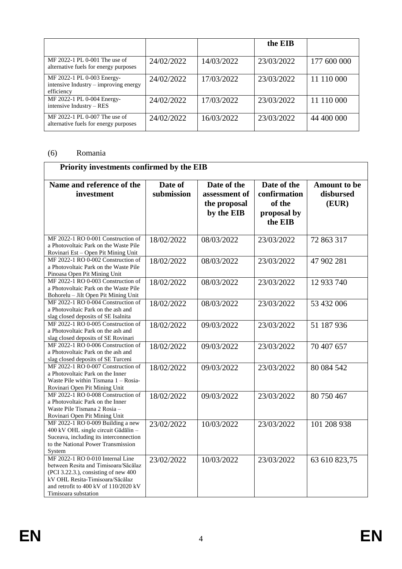|                                                                                   |            |            | the EIB    |             |
|-----------------------------------------------------------------------------------|------------|------------|------------|-------------|
| MF 2022-1 PL 0-001 The use of<br>alternative fuels for energy purposes            | 24/02/2022 | 14/03/2022 | 23/03/2022 | 177 600 000 |
| MF 2022-1 PL 0-003 Energy-<br>intensive Industry – improving energy<br>efficiency | 24/02/2022 | 17/03/2022 | 23/03/2022 | 11 110 000  |
| MF 2022-1 PL 0-004 Energy-<br>intensive Industry – RES                            | 24/02/2022 | 17/03/2022 | 23/03/2022 | 11 110 000  |
| MF 2022-1 PL 0-007 The use of<br>alternative fuels for energy purposes            | 24/02/2022 | 16/03/2022 | 23/03/2022 | 44 400 000  |

#### (6) Romania

|                                                                                                                                                                                                                      | Priority investments confirmed by the EIB |                                                            |                                                                 |                                           |  |  |
|----------------------------------------------------------------------------------------------------------------------------------------------------------------------------------------------------------------------|-------------------------------------------|------------------------------------------------------------|-----------------------------------------------------------------|-------------------------------------------|--|--|
| Name and reference of the<br>investment                                                                                                                                                                              | Date of<br>submission                     | Date of the<br>assessment of<br>the proposal<br>by the EIB | Date of the<br>confirmation<br>of the<br>proposal by<br>the EIB | <b>Amount to be</b><br>disbursed<br>(EUR) |  |  |
| MF 2022-1 RO 0-001 Construction of<br>a Photovoltaic Park on the Waste Pile<br>Rovinari Est - Open Pit Mining Unit                                                                                                   | 18/02/2022                                | 08/03/2022                                                 | 23/03/2022                                                      | 72 863 317                                |  |  |
| MF 2022-1 RO 0-002 Construction of<br>a Photovoltaic Park on the Waste Pile<br>Pinoasa Open Pit Mining Unit                                                                                                          | 18/02/2022                                | 08/03/2022                                                 | 23/03/2022                                                      | 47 902 281                                |  |  |
| MF 2022-1 RO 0-003 Construction of<br>a Photovoltaic Park on the Waste Pile<br>Bohorelu - Jilt Open Pit Mining Unit                                                                                                  | 18/02/2022                                | 08/03/2022                                                 | 23/03/2022                                                      | 12 933 740                                |  |  |
| MF 2022-1 RO 0-004 Construction of<br>a Photovoltaic Park on the ash and<br>slag closed deposits of SE Isalnita                                                                                                      | 18/02/2022                                | 08/03/2022                                                 | 23/03/2022                                                      | 53 432 006                                |  |  |
| MF 2022-1 RO 0-005 Construction of<br>a Photovoltaic Park on the ash and<br>slag closed deposits of SE Rovinari                                                                                                      | 18/02/2022                                | 09/03/2022                                                 | 23/03/2022                                                      | 51 187 936                                |  |  |
| MF 2022-1 RO 0-006 Construction of<br>a Photovoltaic Park on the ash and<br>slag closed deposits of SE Turceni                                                                                                       | 18/02/2022                                | 09/03/2022                                                 | 23/03/2022                                                      | 70 407 657                                |  |  |
| MF 2022-1 RO 0-007 Construction of<br>a Photovoltaic Park on the Inner<br>Waste Pile within Tismana 1 – Rosia-<br>Rovinari Open Pit Mining Unit                                                                      | 18/02/2022                                | 09/03/2022                                                 | 23/03/2022                                                      | 80 084 542                                |  |  |
| MF 2022-1 RO 0-008 Construction of<br>a Photovoltaic Park on the Inner<br>Waste Pile Tismana 2 Rosia -<br>Rovinari Open Pit Mining Unit                                                                              | 18/02/2022                                | 09/03/2022                                                 | 23/03/2022                                                      | 80 750 467                                |  |  |
| MF 2022-1 RO 0-009 Building a new<br>400 kV OHL single circuit Gădălin -<br>Suceava, including its interconnection<br>to the National Power Transmission<br>System                                                   | 23/02/2022                                | 10/03/2022                                                 | 23/03/2022                                                      | 101 208 938                               |  |  |
| MF 2022-1 RO 0-010 Internal Line<br>between Resita and Timisoara/Săcălaz<br>(PCI 3.22.3.), consisting of new 400<br>kV OHL Resita-Timisoara/Săcălaz<br>and retrofit to 400 kV of 110/2020 kV<br>Timisoara substation | 23/02/2022                                | 10/03/2022                                                 | 23/03/2022                                                      | 63 610 823,75                             |  |  |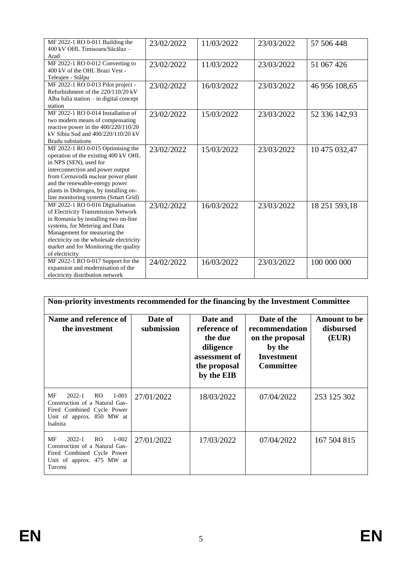| MF 2022-1 RO 0-011 Building the          | 23/02/2022 | 11/03/2022 | 23/03/2022 | 57 506 448    |
|------------------------------------------|------------|------------|------------|---------------|
| 400 kV OHL Timisoara/Săcălaz -           |            |            |            |               |
| Arad                                     |            |            |            |               |
| MF 2022-1 RO 0-012 Converting to         | 23/02/2022 | 11/03/2022 | 23/03/2022 | 51 067 426    |
| 400 kV of the OHL Brazi Vest -           |            |            |            |               |
| Teleajen - Stâlpu                        |            |            |            |               |
| MF 2022-1 RO 0-013 Pilot project -       | 23/02/2022 | 16/03/2022 | 23/03/2022 | 46 956 108,65 |
| Refurbishment of the 220/110/20 kV       |            |            |            |               |
| Alba Iulia station - in digital concept  |            |            |            |               |
| station                                  |            |            |            |               |
| MF 2022-1 RO 0-014 Installation of       | 23/02/2022 | 15/03/2022 | 23/03/2022 | 52 336 142,93 |
| two modern means of compensating         |            |            |            |               |
| reactive power in the 400/220/110/20     |            |            |            |               |
| kV Sibiu Sud and 400/220/110/20 kV       |            |            |            |               |
| <b>Bradu</b> substations                 |            |            |            |               |
| MF 2022-1 RO 0-015 Optimising the        | 23/02/2022 | 15/03/2022 | 23/03/2022 | 10 475 032,47 |
| operation of the existing 400 kV OHL     |            |            |            |               |
| in NPS (SEN), used for                   |            |            |            |               |
| interconnection and power output         |            |            |            |               |
| from Cernavodă nuclear power plant       |            |            |            |               |
| and the renewable-energy power           |            |            |            |               |
| plants in Dobrogea, by installing on-    |            |            |            |               |
| line monitoring systems (Smart Grid)     |            |            |            |               |
| MF 2022-1 RO 0-016 Digitalisation        | 23/02/2022 | 16/03/2022 | 23/03/2022 |               |
| of Electricity Transmission Network      |            |            |            | 18 251 593,18 |
| in Romania by installing two on-line     |            |            |            |               |
| systems, for Metering and Data           |            |            |            |               |
| Management for measuring the             |            |            |            |               |
| electricity on the wholesale electricity |            |            |            |               |
| market and for Monitoring the quality    |            |            |            |               |
| of electricity                           |            |            |            |               |
|                                          |            |            |            |               |
| MF 2022-1 RO 0-017 Support for the       | 24/02/2022 | 16/03/2022 | 23/03/2022 | 100 000 000   |
| expansion and modernisation of the       |            |            |            |               |
| electricity distribution network         |            |            |            |               |

| Non-priority investments recommended for the financing by the Investment Committee                                                            |                       |                                                                                                 |                                                                                              |                                           |
|-----------------------------------------------------------------------------------------------------------------------------------------------|-----------------------|-------------------------------------------------------------------------------------------------|----------------------------------------------------------------------------------------------|-------------------------------------------|
| Name and reference of<br>the investment                                                                                                       | Date of<br>submission | Date and<br>reference of<br>the due<br>diligence<br>assessment of<br>the proposal<br>by the EIB | Date of the<br>recommendation<br>on the proposal<br>by the<br>Investment<br><b>Committee</b> | <b>Amount</b> to be<br>disbursed<br>(EUR) |
| MF<br>$2022 - 1$<br>RO.<br>$1 - 001$<br>Construction of a Natural Gas-<br>Fired Combined Cycle Power<br>Unit of approx. 850 MW at<br>Isalnita | 27/01/2022            | 18/03/2022                                                                                      | 07/04/2022                                                                                   | 253 125 302                               |
| MF<br>$2022 - 1$<br>RO.<br>$1 - 002$<br>Construction of a Natural Gas-<br>Fired Combined Cycle Power<br>Unit of approx. 475 MW at<br>Turceni  | 27/01/2022            | 17/03/2022                                                                                      | 07/04/2022                                                                                   | 167 504 815                               |